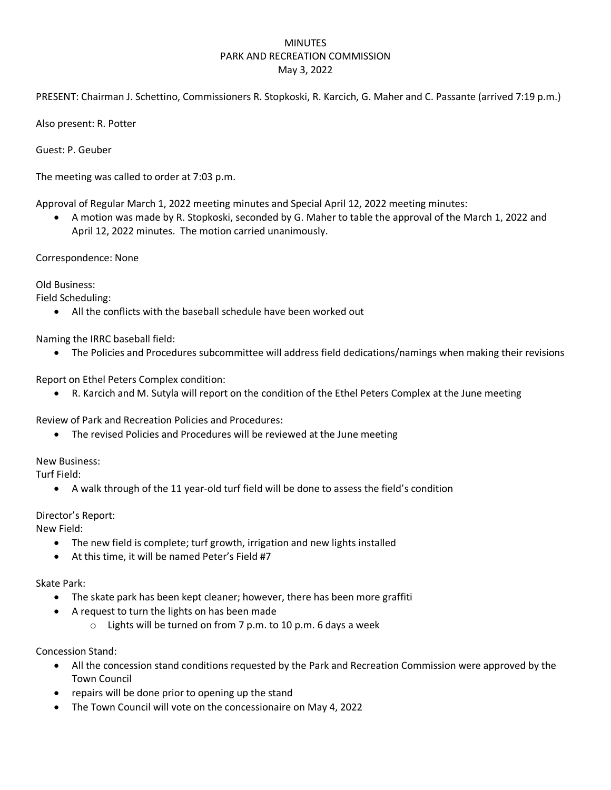## MINUTES PARK AND RECREATION COMMISSION May 3, 2022

PRESENT: Chairman J. Schettino, Commissioners R. Stopkoski, R. Karcich, G. Maher and C. Passante (arrived 7:19 p.m.)

Also present: R. Potter

Guest: P. Geuber

The meeting was called to order at 7:03 p.m.

Approval of Regular March 1, 2022 meeting minutes and Special April 12, 2022 meeting minutes:

• A motion was made by R. Stopkoski, seconded by G. Maher to table the approval of the March 1, 2022 and April 12, 2022 minutes. The motion carried unanimously.

Correspondence: None

Old Business:

Field Scheduling:

• All the conflicts with the baseball schedule have been worked out

Naming the IRRC baseball field:

• The Policies and Procedures subcommittee will address field dedications/namings when making their revisions

Report on Ethel Peters Complex condition:

• R. Karcich and M. Sutyla will report on the condition of the Ethel Peters Complex at the June meeting

Review of Park and Recreation Policies and Procedures:

• The revised Policies and Procedures will be reviewed at the June meeting

New Business:

Turf Field:

• A walk through of the 11 year-old turf field will be done to assess the field's condition

## Director's Report:

New Field:

- The new field is complete; turf growth, irrigation and new lights installed
- At this time, it will be named Peter's Field #7

## Skate Park:

- The skate park has been kept cleaner; however, there has been more graffiti
- A request to turn the lights on has been made
	- o Lights will be turned on from 7 p.m. to 10 p.m. 6 days a week

Concession Stand:

- All the concession stand conditions requested by the Park and Recreation Commission were approved by the Town Council
- repairs will be done prior to opening up the stand
- The Town Council will vote on the concessionaire on May 4, 2022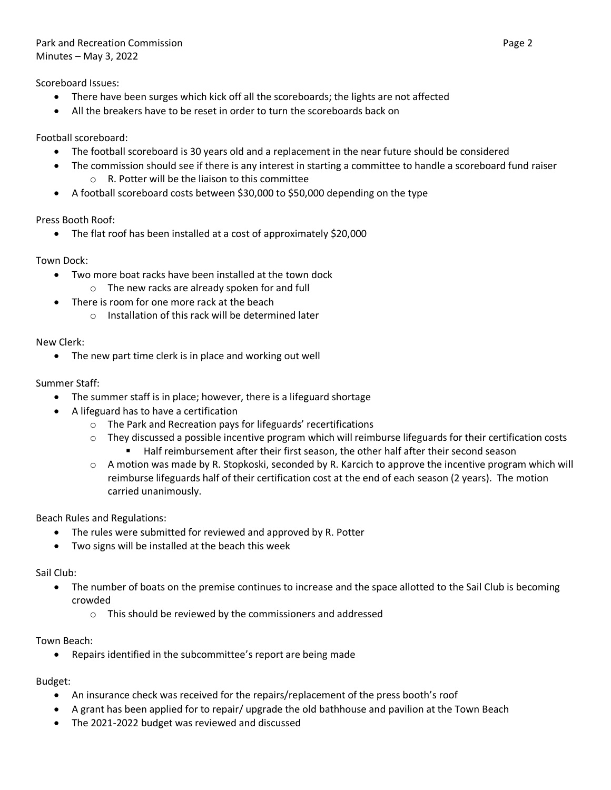Scoreboard Issues:

- There have been surges which kick off all the scoreboards; the lights are not affected
- All the breakers have to be reset in order to turn the scoreboards back on

Football scoreboard:

- The football scoreboard is 30 years old and a replacement in the near future should be considered
- The commission should see if there is any interest in starting a committee to handle a scoreboard fund raiser o R. Potter will be the liaison to this committee
- A football scoreboard costs between \$30,000 to \$50,000 depending on the type

Press Booth Roof:

• The flat roof has been installed at a cost of approximately \$20,000

Town Dock:

- Two more boat racks have been installed at the town dock
	- o The new racks are already spoken for and full
- There is room for one more rack at the beach
	- o Installation of this rack will be determined later

New Clerk:

• The new part time clerk is in place and working out well

Summer Staff:

- The summer staff is in place; however, there is a lifeguard shortage
- A lifeguard has to have a certification
	- o The Park and Recreation pays for lifeguards' recertifications
	- o They discussed a possible incentive program which will reimburse lifeguards for their certification costs
		- Half reimbursement after their first season, the other half after their second season
	- $\circ$  A motion was made by R. Stopkoski, seconded by R. Karcich to approve the incentive program which will reimburse lifeguards half of their certification cost at the end of each season (2 years). The motion carried unanimously.

Beach Rules and Regulations:

- The rules were submitted for reviewed and approved by R. Potter
- Two signs will be installed at the beach this week

Sail Club:

- The number of boats on the premise continues to increase and the space allotted to the Sail Club is becoming crowded
	- o This should be reviewed by the commissioners and addressed

Town Beach:

• Repairs identified in the subcommittee's report are being made

Budget:

- An insurance check was received for the repairs/replacement of the press booth's roof
- A grant has been applied for to repair/ upgrade the old bathhouse and pavilion at the Town Beach
- The 2021-2022 budget was reviewed and discussed